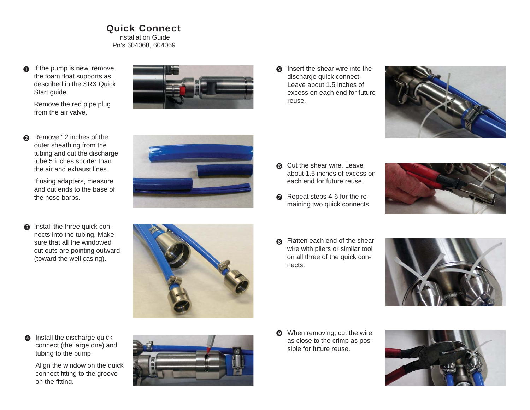Quick ConnectInstallation GuidePn's 604068, 604069

 $\bullet$  If the pump is new, remove the foam float supports as described in the SRX Quick Start guide.

> Remove the red pipe plug from the air valve.

Remove 12 inches of the outer sheathing from the tubing and cut the discharge tube 5 inches shorter than the air and exhaust lines. If using adapters, measure and cut ends to the base of

the hose barbs.

 $\bullet$ 

**8** Install the three quick connects into the tubing. Make sure that all the windowed cut outs are pointing outward (toward the well casing).



**6** Insert the shear wire into the discharge quick connect. Leave about 1.5 inches of excess on each end for future reuse.



- **6** Cut the shear wire. Leave about 1.5 inches of excess on each end for future reuse.
- Repeat steps 4-6 for the remaining two quick connects.



**6** Flatten each end of the shear wire with pliers or similar tool on all three of the quick connects.



**4** Install the discharge quick connect (the large one) and tubing to the pump.

Align the window on the quick connect fitting to the groove on the fitting.



 $\odot$  When removing, cut the wire as close to the crimp as possible for future reuse.